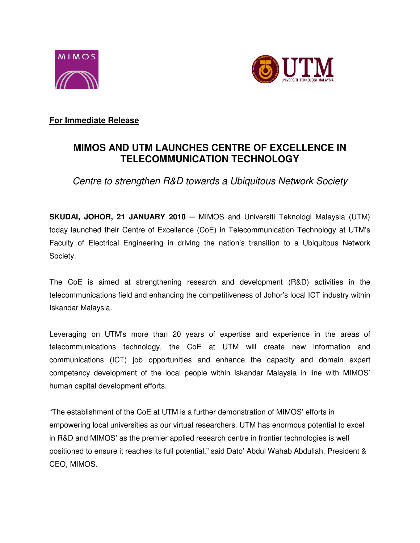



## **For Immediate Release**

## **MIMOS AND UTM LAUNCHES CENTRE OF EXCELLENCE IN TELECOMMUNICATION TECHNOLOGY**

Centre to strengthen R&D towards a Ubiquitous Network Society

**SKUDAI, JOHOR, 21 JANUARY 2010** ─ MIMOS and Universiti Teknologi Malaysia (UTM) today launched their Centre of Excellence (CoE) in Telecommunication Technology at UTM's Faculty of Electrical Engineering in driving the nation's transition to a Ubiquitous Network Society.

The CoE is aimed at strengthening research and development (R&D) activities in the telecommunications field and enhancing the competitiveness of Johor's local ICT industry within Iskandar Malaysia.

Leveraging on UTM's more than 20 years of expertise and experience in the areas of telecommunications technology, the CoE at UTM will create new information and communications (ICT) job opportunities and enhance the capacity and domain expert competency development of the local people within Iskandar Malaysia in line with MIMOS' human capital development efforts.

"The establishment of the CoE at UTM is a further demonstration of MIMOS' efforts in empowering local universities as our virtual researchers. UTM has enormous potential to excel in R&D and MIMOS' as the premier applied research centre in frontier technologies is well positioned to ensure it reaches its full potential," said Dato' Abdul Wahab Abdullah, President & CEO, MIMOS.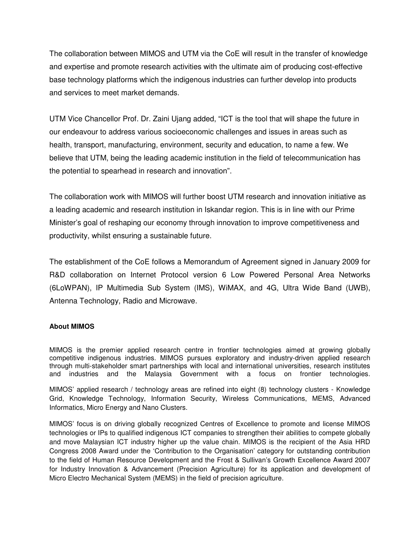The collaboration between MIMOS and UTM via the CoE will result in the transfer of knowledge and expertise and promote research activities with the ultimate aim of producing cost-effective base technology platforms which the indigenous industries can further develop into products and services to meet market demands.

UTM Vice Chancellor Prof. Dr. Zaini Ujang added, "ICT is the tool that will shape the future in our endeavour to address various socioeconomic challenges and issues in areas such as health, transport, manufacturing, environment, security and education, to name a few. We believe that UTM, being the leading academic institution in the field of telecommunication has the potential to spearhead in research and innovation".

The collaboration work with MIMOS will further boost UTM research and innovation initiative as a leading academic and research institution in Iskandar region. This is in line with our Prime Minister's goal of reshaping our economy through innovation to improve competitiveness and productivity, whilst ensuring a sustainable future.

The establishment of the CoE follows a Memorandum of Agreement signed in January 2009 for R&D collaboration on Internet Protocol version 6 Low Powered Personal Area Networks (6LoWPAN), IP Multimedia Sub System (IMS), WiMAX, and 4G, Ultra Wide Band (UWB), Antenna Technology, Radio and Microwave.

## **About MIMOS**

MIMOS is the premier applied research centre in frontier technologies aimed at growing globally competitive indigenous industries. MIMOS pursues exploratory and industry-driven applied research through multi-stakeholder smart partnerships with local and international universities, research institutes and industries and the Malaysia Government with a focus on frontier technologies.

MIMOS' applied research / technology areas are refined into eight (8) technology clusters - Knowledge Grid, Knowledge Technology, Information Security, Wireless Communications, MEMS, Advanced Informatics, Micro Energy and Nano Clusters.

MIMOS' focus is on driving globally recognized Centres of Excellence to promote and license MIMOS technologies or IPs to qualified indigenous ICT companies to strengthen their abilities to compete globally and move Malaysian ICT industry higher up the value chain. MIMOS is the recipient of the Asia HRD Congress 2008 Award under the 'Contribution to the Organisation' category for outstanding contribution to the field of Human Resource Development and the Frost & Sullivan's Growth Excellence Award 2007 for Industry Innovation & Advancement (Precision Agriculture) for its application and development of Micro Electro Mechanical System (MEMS) in the field of precision agriculture.